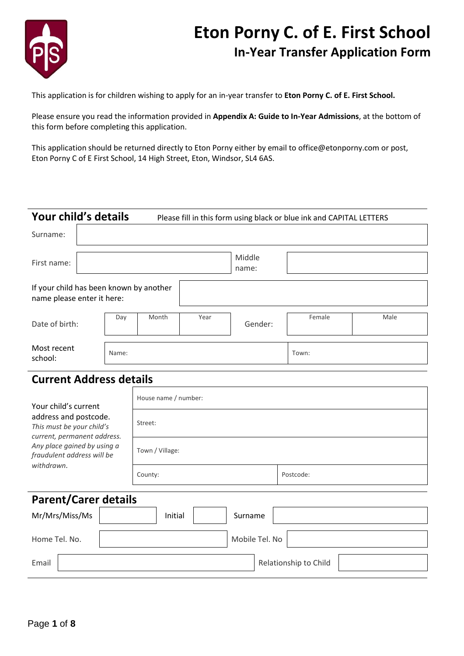

# **Eton Porny C. of E. First School In-Year Transfer Application Form**

This application is for children wishing to apply for an in-year transfer to **Eton Porny C. of E. First School.** 

Please ensure you read the information provided in **Appendix A: Guide to In-Year Admissions**, at the bottom of this form before completing this application.

This application should be returned directly to Eton Porny either by email to office@etonporny.com or post, Eton Porny C of E First School, 14 High Street, Eton, Windsor, SL4 6AS.

|                                                                       | Your child's details<br>Please fill in this form using black or blue ink and CAPITAL LETTERS |       |      |         |        |      |
|-----------------------------------------------------------------------|----------------------------------------------------------------------------------------------|-------|------|---------|--------|------|
| Surname:                                                              |                                                                                              |       |      |         |        |      |
| Middle<br>First name:<br>name:                                        |                                                                                              |       |      |         |        |      |
| If your child has been known by another<br>name please enter it here: |                                                                                              |       |      |         |        |      |
| Date of birth:                                                        | Day                                                                                          | Month | Year | Gender: | Female | Male |
| Most recent<br>school:                                                | Name:                                                                                        |       |      |         | Town:  |      |

# **Current Address details**

| Your child's current                                                              | House name / number: |                       |  |  |  |  |
|-----------------------------------------------------------------------------------|----------------------|-----------------------|--|--|--|--|
| address and postcode.<br>This must be your child's<br>current, permanent address. | Street:              |                       |  |  |  |  |
| Any place gained by using a<br>fraudulent address will be<br>withdrawn.           | Town / Village:      |                       |  |  |  |  |
|                                                                                   | County:              | Postcode:             |  |  |  |  |
| <b>Parent/Carer details</b>                                                       |                      |                       |  |  |  |  |
|                                                                                   |                      |                       |  |  |  |  |
| Mr/Mrs/Miss/Ms                                                                    | Initial<br>Surname   |                       |  |  |  |  |
| Home Tel. No.                                                                     | Mobile Tel. No       |                       |  |  |  |  |
| Email                                                                             |                      | Relationship to Child |  |  |  |  |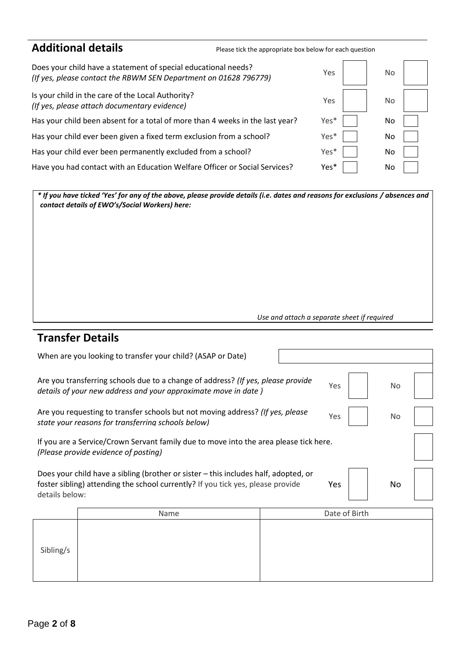| <b>Additional details</b>                                                                                                          | Please tick the appropriate box below for each question |      |     |  |
|------------------------------------------------------------------------------------------------------------------------------------|---------------------------------------------------------|------|-----|--|
| Does your child have a statement of special educational needs?<br>(If yes, please contact the RBWM SEN Department on 01628 796779) |                                                         | Yes  | No. |  |
| Is your child in the care of the Local Authority?<br>(If yes, please attach documentary evidence)                                  |                                                         | Yes  | No. |  |
| Has your child been absent for a total of more than 4 weeks in the last year?                                                      |                                                         | Yes* | No  |  |
| Has your child ever been given a fixed term exclusion from a school?                                                               |                                                         | Yes* | No  |  |
| Has your child ever been permanently excluded from a school?                                                                       |                                                         | Yes* | No  |  |
| Have you had contact with an Education Welfare Officer or Social Services?                                                         |                                                         | Yes* | No  |  |

*\* If you have ticked 'Yes' for any of the above, please provide details (i.e. dates and reasons for exclusions / absences and contact details of EWO's/Social Workers) here:*

*Use and attach a separate sheet if required*

# **Transfer Details**

| When are you looking to transfer your child? (ASAP or Date)                                                                                                     |                                                                                                                                                                        |  |  |               |  |    |  |  |
|-----------------------------------------------------------------------------------------------------------------------------------------------------------------|------------------------------------------------------------------------------------------------------------------------------------------------------------------------|--|--|---------------|--|----|--|--|
| Are you transferring schools due to a change of address? (If yes, please provide<br>Yes<br>No<br>details of your new address and your approximate move in date) |                                                                                                                                                                        |  |  |               |  |    |  |  |
|                                                                                                                                                                 | Are you requesting to transfer schools but not moving address? (If yes, please<br>Yes<br>No<br>state your reasons for transferring schools below)                      |  |  |               |  |    |  |  |
|                                                                                                                                                                 | If you are a Service/Crown Servant family due to move into the area please tick here.<br>(Please provide evidence of posting)                                          |  |  |               |  |    |  |  |
| details below:                                                                                                                                                  | Does your child have a sibling (brother or sister – this includes half, adopted, or<br>foster sibling) attending the school currently? If you tick yes, please provide |  |  | Yes           |  | No |  |  |
|                                                                                                                                                                 | Name                                                                                                                                                                   |  |  | Date of Birth |  |    |  |  |
| Sibling/s                                                                                                                                                       |                                                                                                                                                                        |  |  |               |  |    |  |  |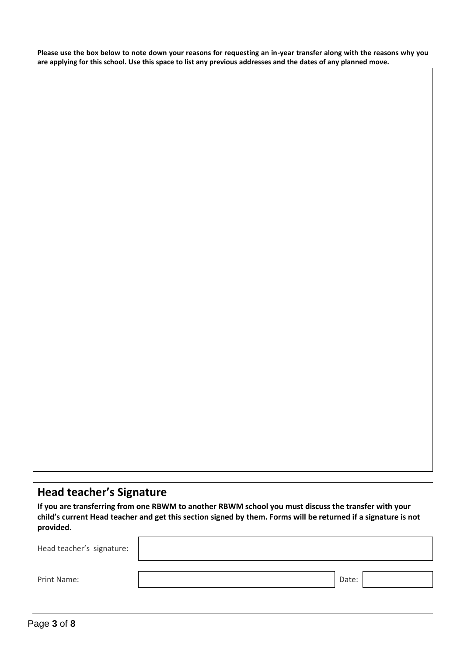**Please use the box below to note down your reasons for requesting an in-year transfer along with the reasons why you are applying for this school. Use this space to list any previous addresses and the dates of any planned move.** 

# **Head teacher's Signature**

child's current Head teacher and get this section signed by them. Forms will be returned if a signature is not **If you are transferring from one RBWM to another RBWM school you must discuss the transfer with your provided.**

| Head teacher's signature: |       |  |
|---------------------------|-------|--|
|                           |       |  |
| Print Name:               | Date: |  |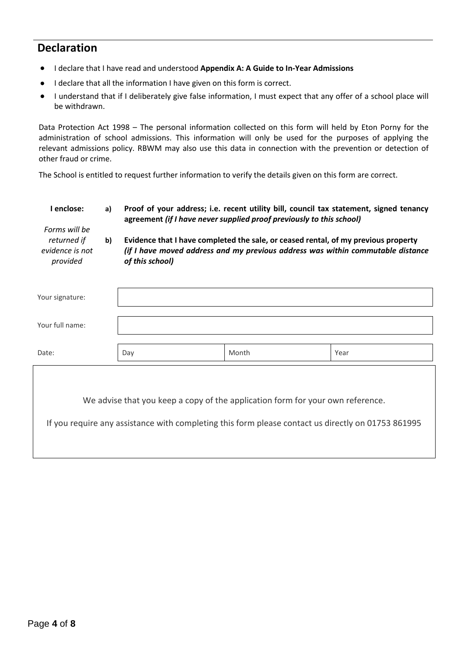# **Declaration**

- I declare that I have read and understood **Appendix A: A Guide to In-Year Admissions**
- I declare that all the information I have given on this form is correct.
- I understand that if I deliberately give false information, I must expect that any offer of a school place will be withdrawn.

Data Protection Act 1998 – The personal information collected on this form will held by Eton Porny for the administration of school admissions. This information will only be used for the purposes of applying the relevant admissions policy. RBWM may also use this data in connection with the prevention or detection of other fraud or crime.

The School is entitled to request further information to verify the details given on this form are correct.

| I enclose:<br>Forms will be                | a) | Proof of your address; i.e. recent utility bill, council tax statement, signed tenancy<br>agreement (if I have never supplied proof previously to this school)<br>Evidence that I have completed the sale, or ceased rental, of my previous property<br>(if I have moved address and my previous address was within commutable distance<br>of this school) |       |      |  |  |
|--------------------------------------------|----|------------------------------------------------------------------------------------------------------------------------------------------------------------------------------------------------------------------------------------------------------------------------------------------------------------------------------------------------------------|-------|------|--|--|
| returned if<br>evidence is not<br>provided | b) |                                                                                                                                                                                                                                                                                                                                                            |       |      |  |  |
| Your signature:                            |    |                                                                                                                                                                                                                                                                                                                                                            |       |      |  |  |
| Your full name:                            |    |                                                                                                                                                                                                                                                                                                                                                            |       |      |  |  |
| Date:                                      |    | Day                                                                                                                                                                                                                                                                                                                                                        | Month | Year |  |  |
|                                            |    |                                                                                                                                                                                                                                                                                                                                                            |       |      |  |  |

We advise that you keep a copy of the application form for your own reference.

If you require any assistance with completing this form please contact us directly on 01753 861995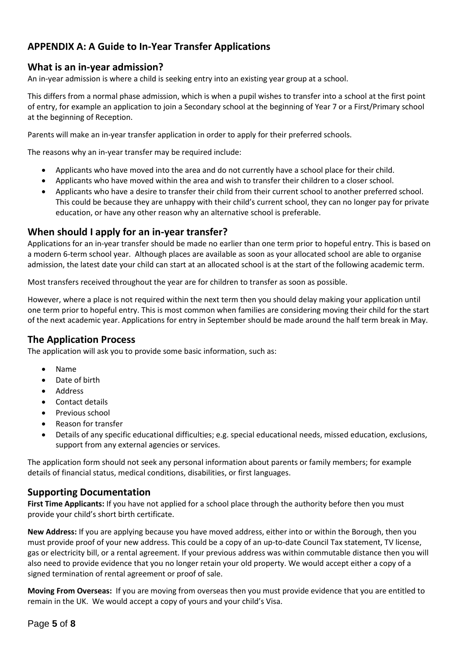### **APPENDIX A: A Guide to In-Year Transfer Applications**

#### **What is an in-year admission?**

An in-year admission is where a child is seeking entry into an existing year group at a school.

This differs from a normal phase admission, which is when a pupil wishes to transfer into a school at the first point of entry, for example an application to join a Secondary school at the beginning of Year 7 or a First/Primary school at the beginning of Reception.

Parents will make an in-year transfer application in order to apply for their preferred schools.

The reasons why an in-year transfer may be required include:

- Applicants who have moved into the area and do not currently have a school place for their child.
- Applicants who have moved within the area and wish to transfer their children to a closer school.
- Applicants who have a desire to transfer their child from their current school to another preferred school. This could be because they are unhappy with their child's current school, they can no longer pay for private education, or have any other reason why an alternative school is preferable.

#### **When should I apply for an in-year transfer?**

Applications for an in-year transfer should be made no earlier than one term prior to hopeful entry. This is based on a modern 6-term school year. Although places are available as soon as your allocated school are able to organise admission, the latest date your child can start at an allocated school is at the start of the following academic term.

Most transfers received throughout the year are for children to transfer as soon as possible.

However, where a place is not required within the next term then you should delay making your application until one term prior to hopeful entry. This is most common when families are considering moving their child for the start of the next academic year. Applications for entry in September should be made around the half term break in May.

#### **The Application Process**

The application will ask you to provide some basic information, such as:

- Name
- Date of birth
- Address
- Contact details
- Previous school
- Reason for transfer
- Details of any specific educational difficulties; e.g. special educational needs, missed education, exclusions, support from any external agencies or services.

The application form should not seek any personal information about parents or family members; for example details of financial status, medical conditions, disabilities, or first languages.

#### **Supporting Documentation**

**First Time Applicants:** If you have not applied for a school place through the authority before then you must provide your child's short birth certificate.

**New Address:** If you are applying because you have moved address, either into or within the Borough, then you must provide proof of your new address. This could be a copy of an up-to-date Council Tax statement, TV license, gas or electricity bill, or a rental agreement. If your previous address was within commutable distance then you will also need to provide evidence that you no longer retain your old property. We would accept either a copy of a signed termination of rental agreement or proof of sale.

**Moving From Overseas:** If you are moving from overseas then you must provide evidence that you are entitled to remain in the UK. We would accept a copy of yours and your child's Visa.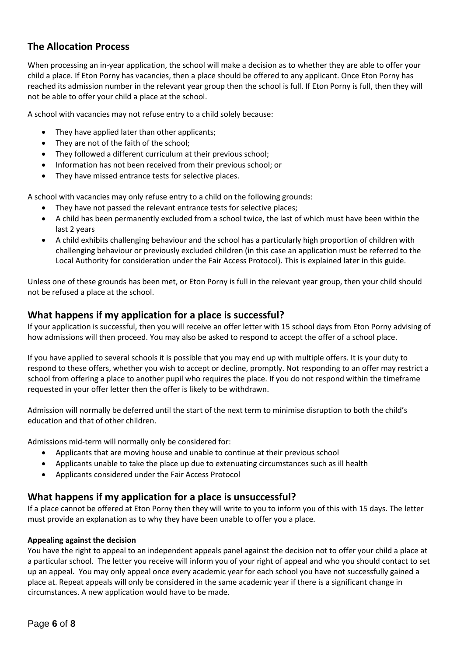### **The Allocation Process**

When processing an in-year application, the school will make a decision as to whether they are able to offer your child a place. If Eton Porny has vacancies, then a place should be offered to any applicant. Once Eton Porny has reached its admission number in the relevant year group then the school is full. If Eton Porny is full, then they will not be able to offer your child a place at the school.

A school with vacancies may not refuse entry to a child solely because:

- They have applied later than other applicants;
- They are not of the faith of the school;
- They followed a different curriculum at their previous school;
- Information has not been received from their previous school; or
- They have missed entrance tests for selective places.

A school with vacancies may only refuse entry to a child on the following grounds:

- They have not passed the relevant entrance tests for selective places;
- A child has been permanently excluded from a school twice, the last of which must have been within the last 2 years
- A child exhibits challenging behaviour and the school has a particularly high proportion of children with challenging behaviour or previously excluded children (in this case an application must be referred to the Local Authority for consideration under the Fair Access Protocol). This is explained later in this guide.

Unless one of these grounds has been met, or Eton Porny is full in the relevant year group, then your child should not be refused a place at the school.

#### **What happens if my application for a place is successful?**

If your application is successful, then you will receive an offer letter with 15 school days from Eton Porny advising of how admissions will then proceed. You may also be asked to respond to accept the offer of a school place.

If you have applied to several schools it is possible that you may end up with multiple offers. It is your duty to respond to these offers, whether you wish to accept or decline, promptly. Not responding to an offer may restrict a school from offering a place to another pupil who requires the place. If you do not respond within the timeframe requested in your offer letter then the offer is likely to be withdrawn.

Admission will normally be deferred until the start of the next term to minimise disruption to both the child's education and that of other children.

Admissions mid-term will normally only be considered for:

- Applicants that are moving house and unable to continue at their previous school
- Applicants unable to take the place up due to extenuating circumstances such as ill health
- Applicants considered under the Fair Access Protocol

#### **What happens if my application for a place is unsuccessful?**

If a place cannot be offered at Eton Porny then they will write to you to inform you of this with 15 days. The letter must provide an explanation as to why they have been unable to offer you a place.

#### **Appealing against the decision**

You have the right to appeal to an independent appeals panel against the decision not to offer your child a place at a particular school. The letter you receive will inform you of your right of appeal and who you should contact to set up an appeal. You may only appeal once every academic year for each school you have not successfully gained a place at. Repeat appeals will only be considered in the same academic year if there is a significant change in circumstances. A new application would have to be made.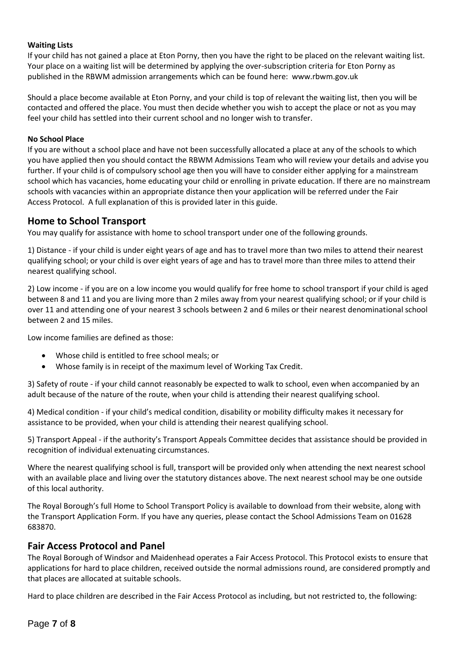#### **Waiting Lists**

If your child has not gained a place at Eton Porny, then you have the right to be placed on the relevant waiting list. Your place on a waiting list will be determined by applying the over-subscription criteria for Eton Porny as published in the RBWM admission arrangements which can be found here: www.rbwm.gov.uk

Should a place become available at Eton Porny, and your child is top of relevant the waiting list, then you will be contacted and offered the place. You must then decide whether you wish to accept the place or not as you may feel your child has settled into their current school and no longer wish to transfer.

#### **No School Place**

If you are without a school place and have not been successfully allocated a place at any of the schools to which you have applied then you should contact the RBWM Admissions Team who will review your details and advise you further. If your child is of compulsory school age then you will have to consider either applying for a mainstream school which has vacancies, home educating your child or enrolling in private education. If there are no mainstream schools with vacancies within an appropriate distance then your application will be referred under the Fair Access Protocol. A full explanation of this is provided later in this guide.

#### **Home to School Transport**

You may qualify for assistance with home to school transport under one of the following grounds.

1) Distance - if your child is under eight years of age and has to travel more than two miles to attend their nearest qualifying school; or your child is over eight years of age and has to travel more than three miles to attend their nearest qualifying school.

2) Low income - if you are on a low income you would qualify for free home to school transport if your child is aged between 8 and 11 and you are living more than 2 miles away from your nearest qualifying school; or if your child is over 11 and attending one of your nearest 3 schools between 2 and 6 miles or their nearest denominational school between 2 and 15 miles.

Low income families are defined as those:

- Whose child is entitled to free school meals; or
- Whose family is in receipt of the maximum level of Working Tax Credit.

3) Safety of route - if your child cannot reasonably be expected to walk to school, even when accompanied by an adult because of the nature of the route, when your child is attending their nearest qualifying school.

4) Medical condition - if your child's medical condition, disability or mobility difficulty makes it necessary for assistance to be provided, when your child is attending their nearest qualifying school.

5) Transport Appeal - if the authority's Transport Appeals Committee decides that assistance should be provided in recognition of individual extenuating circumstances.

Where the nearest qualifying school is full, transport will be provided only when attending the next nearest school with an available place and living over the statutory distances above. The next nearest school may be one outside of this local authority.

The Royal Borough's full Home to School Transport Policy is available to download from their website, along with the Transport Application Form. If you have any queries, please contact the School Admissions Team on 01628 683870.

#### **Fair Access Protocol and Panel**

The Royal Borough of Windsor and Maidenhead operates a Fair Access Protocol. This Protocol exists to ensure that applications for hard to place children, received outside the normal admissions round, are considered promptly and that places are allocated at suitable schools.

Hard to place children are described in the Fair Access Protocol as including, but not restricted to, the following: